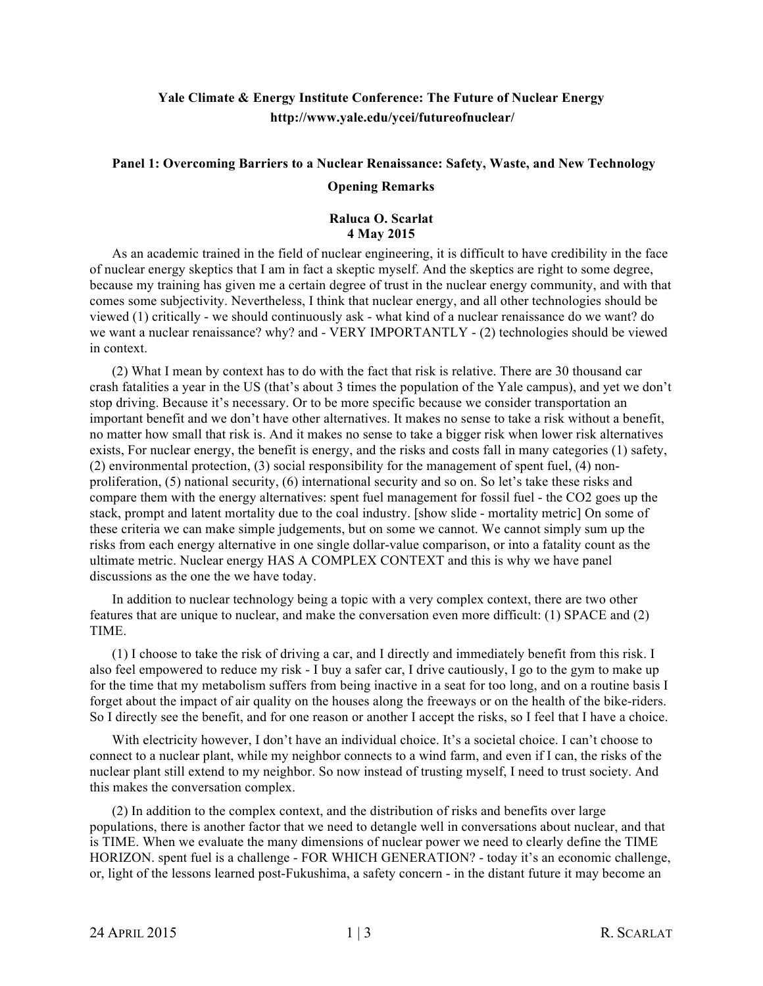## **Yale Climate & Energy Institute Conference: The Future of Nuclear Energy http://www.yale.edu/ycei/futureofnuclear/**

# **Panel 1: Overcoming Barriers to a Nuclear Renaissance: Safety, Waste, and New Technology**

#### **Opening Remarks**

#### **Raluca O. Scarlat 4 May 2015**

As an academic trained in the field of nuclear engineering, it is difficult to have credibility in the face of nuclear energy skeptics that I am in fact a skeptic myself. And the skeptics are right to some degree, because my training has given me a certain degree of trust in the nuclear energy community, and with that comes some subjectivity. Nevertheless, I think that nuclear energy, and all other technologies should be viewed (1) critically - we should continuously ask - what kind of a nuclear renaissance do we want? do we want a nuclear renaissance? why? and - VERY IMPORTANTLY - (2) technologies should be viewed in context.

(2) What I mean by context has to do with the fact that risk is relative. There are 30 thousand car crash fatalities a year in the US (that's about 3 times the population of the Yale campus), and yet we don't stop driving. Because it's necessary. Or to be more specific because we consider transportation an important benefit and we don't have other alternatives. It makes no sense to take a risk without a benefit, no matter how small that risk is. And it makes no sense to take a bigger risk when lower risk alternatives exists, For nuclear energy, the benefit is energy, and the risks and costs fall in many categories (1) safety, (2) environmental protection, (3) social responsibility for the management of spent fuel, (4) nonproliferation, (5) national security, (6) international security and so on. So let's take these risks and compare them with the energy alternatives: spent fuel management for fossil fuel - the CO2 goes up the stack, prompt and latent mortality due to the coal industry. [show slide - mortality metric] On some of these criteria we can make simple judgements, but on some we cannot. We cannot simply sum up the risks from each energy alternative in one single dollar-value comparison, or into a fatality count as the ultimate metric. Nuclear energy HAS A COMPLEX CONTEXT and this is why we have panel discussions as the one the we have today.

In addition to nuclear technology being a topic with a very complex context, there are two other features that are unique to nuclear, and make the conversation even more difficult: (1) SPACE and (2) TIME.

(1) I choose to take the risk of driving a car, and I directly and immediately benefit from this risk. I also feel empowered to reduce my risk - I buy a safer car, I drive cautiously, I go to the gym to make up for the time that my metabolism suffers from being inactive in a seat for too long, and on a routine basis I forget about the impact of air quality on the houses along the freeways or on the health of the bike-riders. So I directly see the benefit, and for one reason or another I accept the risks, so I feel that I have a choice.

With electricity however, I don't have an individual choice. It's a societal choice. I can't choose to connect to a nuclear plant, while my neighbor connects to a wind farm, and even if I can, the risks of the nuclear plant still extend to my neighbor. So now instead of trusting myself, I need to trust society. And this makes the conversation complex.

(2) In addition to the complex context, and the distribution of risks and benefits over large populations, there is another factor that we need to detangle well in conversations about nuclear, and that is TIME. When we evaluate the many dimensions of nuclear power we need to clearly define the TIME HORIZON. spent fuel is a challenge - FOR WHICH GENERATION? - today it's an economic challenge, or, light of the lessons learned post-Fukushima, a safety concern - in the distant future it may become an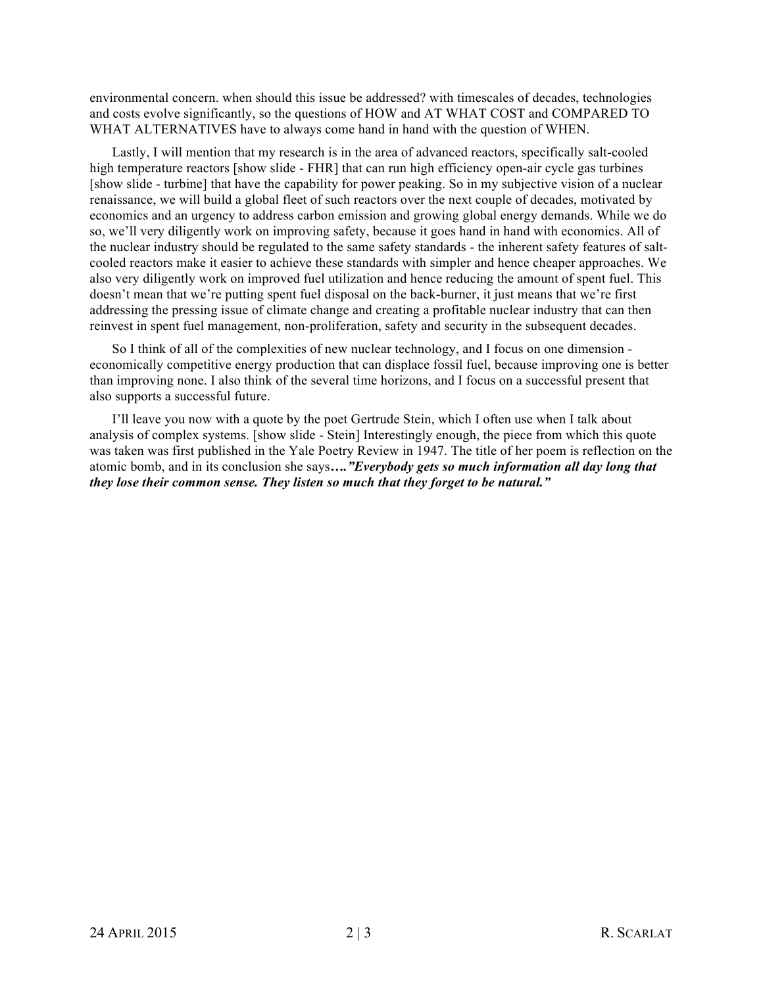environmental concern. when should this issue be addressed? with timescales of decades, technologies and costs evolve significantly, so the questions of HOW and AT WHAT COST and COMPARED TO WHAT ALTERNATIVES have to always come hand in hand with the question of WHEN.

Lastly, I will mention that my research is in the area of advanced reactors, specifically salt-cooled high temperature reactors [show slide - FHR] that can run high efficiency open-air cycle gas turbines [show slide - turbine] that have the capability for power peaking. So in my subjective vision of a nuclear renaissance, we will build a global fleet of such reactors over the next couple of decades, motivated by economics and an urgency to address carbon emission and growing global energy demands. While we do so, we'll very diligently work on improving safety, because it goes hand in hand with economics. All of the nuclear industry should be regulated to the same safety standards - the inherent safety features of saltcooled reactors make it easier to achieve these standards with simpler and hence cheaper approaches. We also very diligently work on improved fuel utilization and hence reducing the amount of spent fuel. This doesn't mean that we're putting spent fuel disposal on the back-burner, it just means that we're first addressing the pressing issue of climate change and creating a profitable nuclear industry that can then reinvest in spent fuel management, non-proliferation, safety and security in the subsequent decades.

So I think of all of the complexities of new nuclear technology, and I focus on one dimension economically competitive energy production that can displace fossil fuel, because improving one is better than improving none. I also think of the several time horizons, and I focus on a successful present that also supports a successful future.

I'll leave you now with a quote by the poet Gertrude Stein, which I often use when I talk about analysis of complex systems. [show slide - Stein] Interestingly enough, the piece from which this quote was taken was first published in the Yale Poetry Review in 1947. The title of her poem is reflection on the atomic bomb, and in its conclusion she says*…."Everybody gets so much information all day long that they lose their common sense. They listen so much that they forget to be natural."*